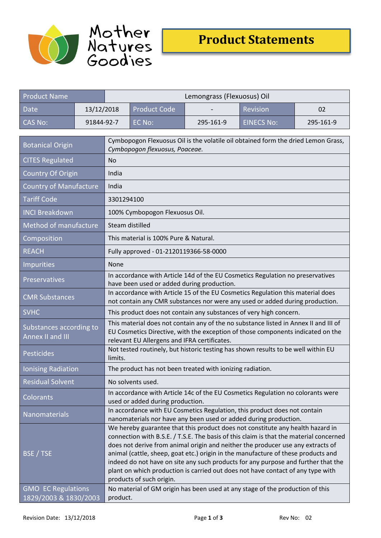



| <b>Product Name</b>                                |            | Lemongrass (Flexuosus) Oil                                                                                                                                                                                                                                                                                                                                                                                                                                                                                                                           |                     |           |                   |           |  |
|----------------------------------------------------|------------|------------------------------------------------------------------------------------------------------------------------------------------------------------------------------------------------------------------------------------------------------------------------------------------------------------------------------------------------------------------------------------------------------------------------------------------------------------------------------------------------------------------------------------------------------|---------------------|-----------|-------------------|-----------|--|
| Date                                               | 13/12/2018 |                                                                                                                                                                                                                                                                                                                                                                                                                                                                                                                                                      | <b>Product Code</b> |           | <b>Revision</b>   | 02        |  |
| <b>CAS No:</b>                                     | 91844-92-7 |                                                                                                                                                                                                                                                                                                                                                                                                                                                                                                                                                      | EC No:              | 295-161-9 | <b>EINECS No:</b> | 295-161-9 |  |
| <b>Botanical Origin</b>                            |            | Cymbopogon Flexuosus Oil is the volatile oil obtained form the dried Lemon Grass,<br>Cymbopogon flexuosus, Poaceae.                                                                                                                                                                                                                                                                                                                                                                                                                                  |                     |           |                   |           |  |
| <b>CITES Regulated</b>                             |            | <b>No</b>                                                                                                                                                                                                                                                                                                                                                                                                                                                                                                                                            |                     |           |                   |           |  |
| Country Of Origin                                  |            | India                                                                                                                                                                                                                                                                                                                                                                                                                                                                                                                                                |                     |           |                   |           |  |
| <b>Country of Manufacture</b>                      |            | India                                                                                                                                                                                                                                                                                                                                                                                                                                                                                                                                                |                     |           |                   |           |  |
| <b>Tariff Code</b>                                 |            | 3301294100                                                                                                                                                                                                                                                                                                                                                                                                                                                                                                                                           |                     |           |                   |           |  |
| <b>INCI Breakdown</b>                              |            | 100% Cymbopogon Flexuosus Oil.                                                                                                                                                                                                                                                                                                                                                                                                                                                                                                                       |                     |           |                   |           |  |
| Method of manufacture                              |            | Steam distilled                                                                                                                                                                                                                                                                                                                                                                                                                                                                                                                                      |                     |           |                   |           |  |
| Composition                                        |            | This material is 100% Pure & Natural.                                                                                                                                                                                                                                                                                                                                                                                                                                                                                                                |                     |           |                   |           |  |
| <b>REACH</b>                                       |            | Fully approved - 01-2120119366-58-0000                                                                                                                                                                                                                                                                                                                                                                                                                                                                                                               |                     |           |                   |           |  |
| Impurities                                         |            | None                                                                                                                                                                                                                                                                                                                                                                                                                                                                                                                                                 |                     |           |                   |           |  |
| Preservatives                                      |            | In accordance with Article 14d of the EU Cosmetics Regulation no preservatives<br>have been used or added during production.                                                                                                                                                                                                                                                                                                                                                                                                                         |                     |           |                   |           |  |
| <b>CMR Substances</b>                              |            | In accordance with Article 15 of the EU Cosmetics Regulation this material does<br>not contain any CMR substances nor were any used or added during production.                                                                                                                                                                                                                                                                                                                                                                                      |                     |           |                   |           |  |
| <b>SVHC</b>                                        |            | This product does not contain any substances of very high concern.                                                                                                                                                                                                                                                                                                                                                                                                                                                                                   |                     |           |                   |           |  |
| Substances according to<br>Annex II and III        |            | This material does not contain any of the no substance listed in Annex II and III of<br>EU Cosmetics Directive, with the exception of those components indicated on the<br>relevant EU Allergens and IFRA certificates.                                                                                                                                                                                                                                                                                                                              |                     |           |                   |           |  |
| Pesticides                                         |            | Not tested routinely, but historic testing has shown results to be well within EU<br>limits.                                                                                                                                                                                                                                                                                                                                                                                                                                                         |                     |           |                   |           |  |
| Ionising Radiation                                 |            | The product has not been treated with ionizing radiation.                                                                                                                                                                                                                                                                                                                                                                                                                                                                                            |                     |           |                   |           |  |
| <b>Residual Solvent</b>                            |            | No solvents used.                                                                                                                                                                                                                                                                                                                                                                                                                                                                                                                                    |                     |           |                   |           |  |
| Colorants                                          |            | In accordance with Article 14c of the EU Cosmetics Regulation no colorants were<br>used or added during production.                                                                                                                                                                                                                                                                                                                                                                                                                                  |                     |           |                   |           |  |
| Nanomaterials                                      |            | In accordance with EU Cosmetics Regulation, this product does not contain<br>nanomaterials nor have any been used or added during production.                                                                                                                                                                                                                                                                                                                                                                                                        |                     |           |                   |           |  |
| BSE / TSE                                          |            | We hereby guarantee that this product does not constitute any health hazard in<br>connection with B.S.E. / T.S.E. The basis of this claim is that the material concerned<br>does not derive from animal origin and neither the producer use any extracts of<br>animal (cattle, sheep, goat etc.) origin in the manufacture of these products and<br>indeed do not have on site any such products for any purpose and further that the<br>plant on which production is carried out does not have contact of any type with<br>products of such origin. |                     |           |                   |           |  |
| <b>GMO EC Regulations</b><br>1829/2003 & 1830/2003 |            | No material of GM origin has been used at any stage of the production of this<br>product.                                                                                                                                                                                                                                                                                                                                                                                                                                                            |                     |           |                   |           |  |
|                                                    |            |                                                                                                                                                                                                                                                                                                                                                                                                                                                                                                                                                      |                     |           |                   |           |  |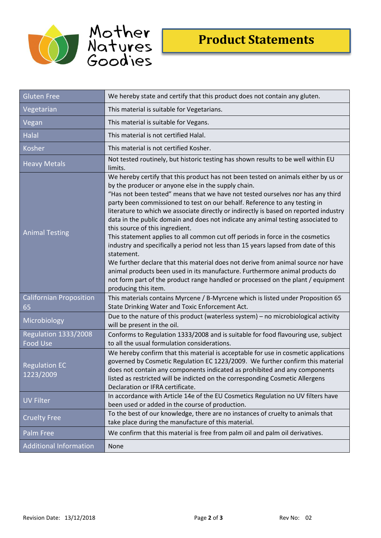



| <b>Gluten Free</b>                      | We hereby state and certify that this product does not contain any gluten.                                                                                                                                                                                                                                                                                                                                                                                                                                                                                                                                                                                                                                                                                                                                                                                                                                                                                                                        |  |  |
|-----------------------------------------|---------------------------------------------------------------------------------------------------------------------------------------------------------------------------------------------------------------------------------------------------------------------------------------------------------------------------------------------------------------------------------------------------------------------------------------------------------------------------------------------------------------------------------------------------------------------------------------------------------------------------------------------------------------------------------------------------------------------------------------------------------------------------------------------------------------------------------------------------------------------------------------------------------------------------------------------------------------------------------------------------|--|--|
| Vegetarian                              | This material is suitable for Vegetarians.                                                                                                                                                                                                                                                                                                                                                                                                                                                                                                                                                                                                                                                                                                                                                                                                                                                                                                                                                        |  |  |
| Vegan                                   | This material is suitable for Vegans.                                                                                                                                                                                                                                                                                                                                                                                                                                                                                                                                                                                                                                                                                                                                                                                                                                                                                                                                                             |  |  |
| Halal                                   | This material is not certified Halal.                                                                                                                                                                                                                                                                                                                                                                                                                                                                                                                                                                                                                                                                                                                                                                                                                                                                                                                                                             |  |  |
| Kosher                                  | This material is not certified Kosher.                                                                                                                                                                                                                                                                                                                                                                                                                                                                                                                                                                                                                                                                                                                                                                                                                                                                                                                                                            |  |  |
| <b>Heavy Metals</b>                     | Not tested routinely, but historic testing has shown results to be well within EU<br>limits.                                                                                                                                                                                                                                                                                                                                                                                                                                                                                                                                                                                                                                                                                                                                                                                                                                                                                                      |  |  |
| <b>Animal Testing</b>                   | We hereby certify that this product has not been tested on animals either by us or<br>by the producer or anyone else in the supply chain.<br>"Has not been tested" means that we have not tested ourselves nor has any third<br>party been commissioned to test on our behalf. Reference to any testing in<br>literature to which we associate directly or indirectly is based on reported industry<br>data in the public domain and does not indicate any animal testing associated to<br>this source of this ingredient.<br>This statement applies to all common cut off periods in force in the cosmetics<br>industry and specifically a period not less than 15 years lapsed from date of this<br>statement.<br>We further declare that this material does not derive from animal source nor have<br>animal products been used in its manufacture. Furthermore animal products do<br>not form part of the product range handled or processed on the plant / equipment<br>producing this item. |  |  |
| <b>Californian Proposition</b><br>65    | This materials contains Myrcene / B-Myrcene which is listed under Proposition 65<br>State Drinking Water and Toxic Enforcement Act.                                                                                                                                                                                                                                                                                                                                                                                                                                                                                                                                                                                                                                                                                                                                                                                                                                                               |  |  |
| Microbiology                            | Due to the nature of this product (waterless system) - no microbiological activity<br>will be present in the oil.                                                                                                                                                                                                                                                                                                                                                                                                                                                                                                                                                                                                                                                                                                                                                                                                                                                                                 |  |  |
| Regulation 1333/2008<br><b>Food Use</b> | Conforms to Regulation 1333/2008 and is suitable for food flavouring use, subject<br>to all the usual formulation considerations.                                                                                                                                                                                                                                                                                                                                                                                                                                                                                                                                                                                                                                                                                                                                                                                                                                                                 |  |  |
| <b>Regulation EC</b><br>1223/2009       | We hereby confirm that this material is acceptable for use in cosmetic applications<br>governed by Cosmetic Regulation EC 1223/2009. We further confirm this material<br>does not contain any components indicated as prohibited and any components<br>listed as restricted will be indicted on the corresponding Cosmetic Allergens<br>Declaration or IFRA certificate.                                                                                                                                                                                                                                                                                                                                                                                                                                                                                                                                                                                                                          |  |  |
| <b>UV Filter</b>                        | In accordance with Article 14e of the EU Cosmetics Regulation no UV filters have<br>been used or added in the course of production.                                                                                                                                                                                                                                                                                                                                                                                                                                                                                                                                                                                                                                                                                                                                                                                                                                                               |  |  |
| <b>Cruelty Free</b>                     | To the best of our knowledge, there are no instances of cruelty to animals that<br>take place during the manufacture of this material.                                                                                                                                                                                                                                                                                                                                                                                                                                                                                                                                                                                                                                                                                                                                                                                                                                                            |  |  |
| Palm Free                               | We confirm that this material is free from palm oil and palm oil derivatives.                                                                                                                                                                                                                                                                                                                                                                                                                                                                                                                                                                                                                                                                                                                                                                                                                                                                                                                     |  |  |
| <b>Additional Information</b>           | None                                                                                                                                                                                                                                                                                                                                                                                                                                                                                                                                                                                                                                                                                                                                                                                                                                                                                                                                                                                              |  |  |